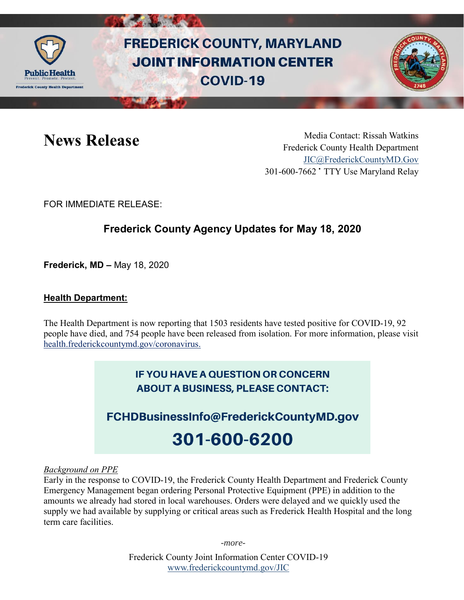

## **FREDERICK COUNTY, MARYLAND JOINT INFORMATION CENTER COVID-19**



News Release Media Contact: Rissah Watkins Frederick County Health Department [JIC@FrederickCountyMD.Gov](mailto:JIC@FrederickCountyMD.Gov) 301-600-7662 • TTY Use Maryland Relay

FOR IMMEDIATE RELEASE:

### **Frederick County Agency Updates for May 18, 2020**

**Frederick, MD –** May 18, 2020

### **Health Department:**

The Health Department is now reporting that 1503 residents have tested positive for COVID-19, 92 people have died, and 754 people have been released from isolation. For more information, please visit [health.frederickcountymd.gov/coronavirus.](https://health.frederickcountymd.gov/614/Novel-Coronavirus-COVID-19)

> **IF YOU HAVE A QUESTION OR CONCERN ABOUT A BUSINESS, PLEASE CONTACT:**

FCHDBusinessInfo@FrederickCountyMD.gov

# 301-600-6200

### *Background on PPE*

Early in the response to COVID-19, the Frederick County Health Department and Frederick County Emergency Management began ordering Personal Protective Equipment (PPE) in addition to the amounts we already had stored in local warehouses. Orders were delayed and we quickly used the supply we had available by supplying or critical areas such as Frederick Health Hospital and the long term care facilities.

*-more-*

Frederick County Joint Information Center COVID-19 [www.frederickcountymd.gov/JIC](https://frederickcountymd.gov/JIC)